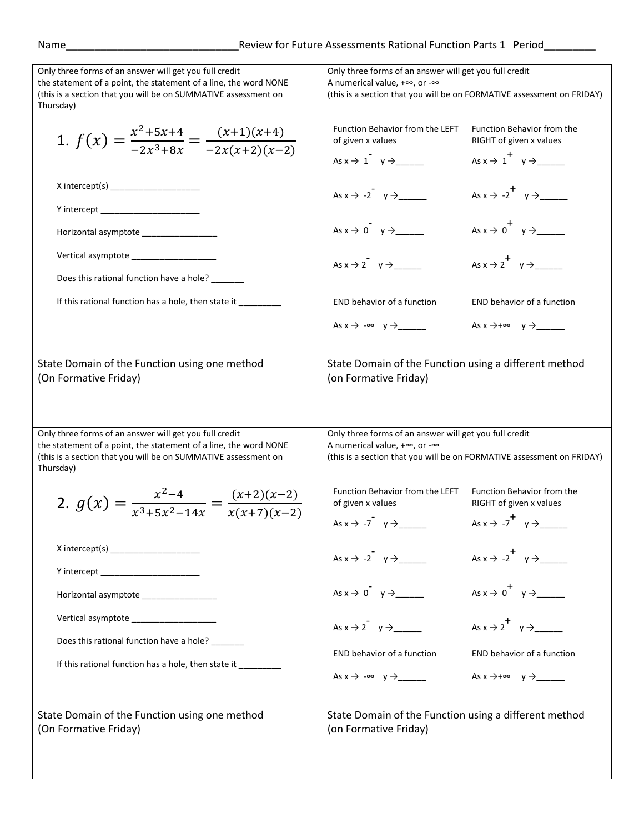| Only three forms of an answer will get you full credit<br>the statement of a point, the statement of a line, the word NONE<br>(this is a section that you will be on SUMMATIVE assessment on<br>Thursday) | Only three forms of an answer will get you full credit<br>A numerical value, $+\infty$ , or $-\infty$ | (this is a section that you will be on FORMATIVE assessment on FRIDAY) |
|-----------------------------------------------------------------------------------------------------------------------------------------------------------------------------------------------------------|-------------------------------------------------------------------------------------------------------|------------------------------------------------------------------------|
| 1. $f(x) = \frac{x^2+5x+4}{-2x^3+8x} = \frac{(x+1)(x+4)}{-2x(x+2)(x-2)}$                                                                                                                                  | Function Behavior from the LEFT<br>of given x values                                                  | <b>Function Behavior from the</b><br>RIGHT of given x values           |
|                                                                                                                                                                                                           | As $x \to 1^ y \to$                                                                                   | As $x \rightarrow 1^+$ $y \rightarrow$                                 |
| Y intercept ______________________                                                                                                                                                                        | As $x \rightarrow -2$ $y \rightarrow$                                                                 |                                                                        |
| Horizontal asymptote _________________                                                                                                                                                                    | As $x \to 0^+$ $y \to$                                                                                |                                                                        |
| Vertical asymptote ___________________                                                                                                                                                                    | As $x \to 2^+$ $y \to$                                                                                | As $x \rightarrow 2^+$ $y \rightarrow$                                 |
| Does this rational function have a hole?                                                                                                                                                                  |                                                                                                       |                                                                        |
| If this rational function has a hole, then state it _________                                                                                                                                             | <b>END behavior of a function</b>                                                                     | END behavior of a function                                             |
|                                                                                                                                                                                                           | As $x \rightarrow -\infty$ $y \rightarrow$                                                            | As $x \rightarrow +\infty$ $y \rightarrow$                             |
| State Domain of the Function using one method<br>(On Formative Friday)                                                                                                                                    | State Domain of the Function using a different method<br>(on Formative Friday)                        |                                                                        |
| Only three forms of an answer will get you full credit<br>the statement of a point, the statement of a line, the word NONE<br>(this is a section that you will be on SUMMATIVE assessment on<br>Thursday) | Only three forms of an answer will get you full credit<br>A numerical value, $+\infty$ , or $-\infty$ | (this is a section that you will be on FORMATIVE assessment on FRIDAY) |
| 2. $g(x) = \frac{x^2-4}{x^3+5x^2-14x} = \frac{(x+2)(x-2)}{x(x+7)(x-2)}$                                                                                                                                   | Function Behavior from the LEFT<br>of given x values                                                  | Function Behavior from the<br>RIGHT of given x values                  |
|                                                                                                                                                                                                           | As $x \rightarrow -7$ $y \rightarrow$                                                                 | As $x \rightarrow -7$ $y \rightarrow$                                  |
| X intercept(s) ____________________                                                                                                                                                                       | As $x \rightarrow -2$ $y \rightarrow$                                                                 | As $x \rightarrow -2^+$ $y \rightarrow$                                |
|                                                                                                                                                                                                           |                                                                                                       |                                                                        |
| Vertical asymptote ___________________                                                                                                                                                                    |                                                                                                       | As $x \rightarrow 2^+$ $y \rightarrow$                                 |
| Does this rational function have a hole? _______<br>If this rational function has a hole, then state it                                                                                                   | <b>END behavior of a function</b>                                                                     | END behavior of a function                                             |
|                                                                                                                                                                                                           |                                                                                                       |                                                                        |
| State Domain of the Function using one method<br>(On Formative Friday)                                                                                                                                    | State Domain of the Function using a different method<br>(on Formative Friday)                        |                                                                        |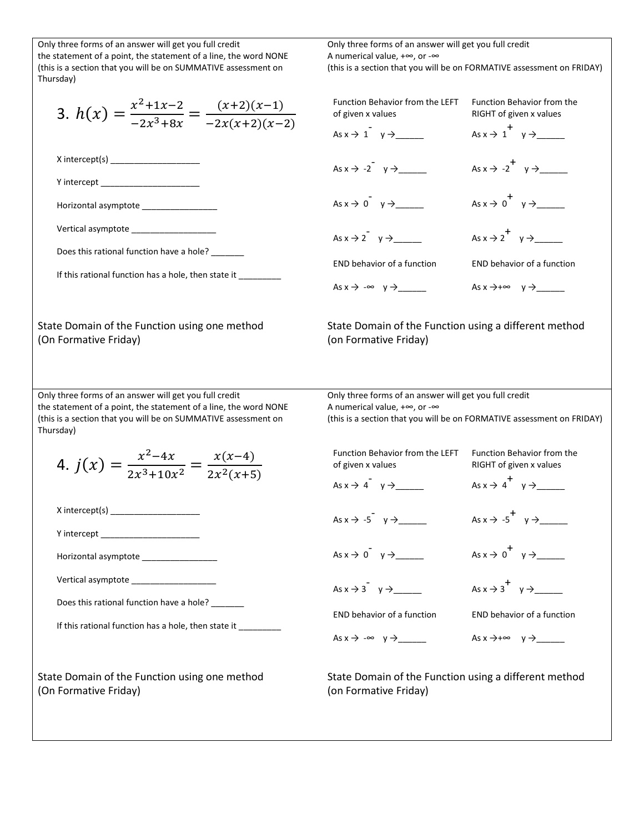| Only three forms of an answer will get you full credit<br>the statement of a point, the statement of a line, the word NONE<br>(this is a section that you will be on SUMMATIVE assessment on<br>Thursday) | Only three forms of an answer will get you full credit<br>A numerical value, $+\infty$ , or $-\infty$ | (this is a section that you will be on FORMATIVE assessment on FRIDAY) |
|-----------------------------------------------------------------------------------------------------------------------------------------------------------------------------------------------------------|-------------------------------------------------------------------------------------------------------|------------------------------------------------------------------------|
| 3. $h(x) = \frac{x^2+1x-2}{-2x^3+8x} = \frac{(x+2)(x-1)}{-2x(x+2)(x-2)}$                                                                                                                                  | <b>Function Behavior from the LEFT</b><br>of given x values                                           | Function Behavior from the<br>RIGHT of given x values                  |
|                                                                                                                                                                                                           | As $x \to 1$ $y \to$                                                                                  |                                                                        |
| Y intercept ________________________                                                                                                                                                                      | As $x \rightarrow -2$ $y \rightarrow$                                                                 |                                                                        |
| Horizontal asymptote expression and the set of the set of the set of the set of the set of the set o                                                                                                      | As $x \to 0^+$ $y \to$                                                                                |                                                                        |
| Vertical asymptote _____________________<br>Does this rational function have a hole? _______                                                                                                              | As $x \rightarrow 2^y$ $y \rightarrow$                                                                |                                                                        |
| If this rational function has a hole, then state it                                                                                                                                                       | <b>END behavior of a function</b>                                                                     | END behavior of a function                                             |
|                                                                                                                                                                                                           | As $x \rightarrow -\infty$ $y \rightarrow$                                                            |                                                                        |
| State Domain of the Function using one method<br>(On Formative Friday)                                                                                                                                    | State Domain of the Function using a different method<br>(on Formative Friday)                        |                                                                        |
| Only three forms of an answer will get you full credit<br>the statement of a point, the statement of a line, the word NONE<br>(this is a section that you will be on SUMMATIVE assessment on<br>Thursday) | Only three forms of an answer will get you full credit<br>A numerical value, $+\infty$ , or $-\infty$ | (this is a section that you will be on FORMATIVE assessment on FRIDAY) |
| 4. $j(x) = \frac{x^2-4x}{2x^3+10x^2} = \frac{x(x-4)}{2x^2(x+5)}$                                                                                                                                          | Function Behavior from the LEFT<br>of given x values                                                  | Function Behavior from the<br>RIGHT of given x values                  |
|                                                                                                                                                                                                           | As $x \rightarrow 4^{\degree}$ $y \rightarrow$                                                        | As $x \rightarrow 4$ $y \rightarrow$                                   |
| Y intercept _________________________                                                                                                                                                                     | As $x \rightarrow -5$ $y \rightarrow$                                                                 |                                                                        |
| Horizontal asymptote ________________                                                                                                                                                                     | As $x \to 0^+$ $y \to$                                                                                |                                                                        |
|                                                                                                                                                                                                           | As $x \rightarrow 3$ $y \rightarrow$                                                                  |                                                                        |
| Does this rational function have a hole? _______<br>If this rational function has a hole, then state it ________                                                                                          | END behavior of a function                                                                            | END behavior of a function                                             |
|                                                                                                                                                                                                           |                                                                                                       | As $x \rightarrow +\infty$ $y \rightarrow$ _______                     |
| State Domain of the Function using one method<br>(On Formative Friday)                                                                                                                                    | State Domain of the Function using a different method<br>(on Formative Friday)                        |                                                                        |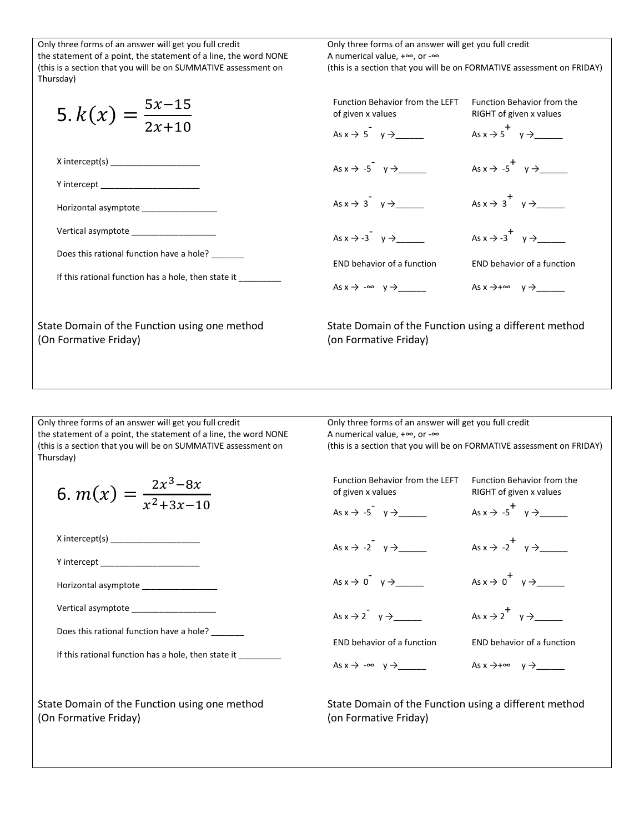| Only three forms of an answer will get you full credit                                               | Only three forms of an answer will get you full credit                         |                                                                        |
|------------------------------------------------------------------------------------------------------|--------------------------------------------------------------------------------|------------------------------------------------------------------------|
| the statement of a point, the statement of a line, the word NONE                                     | A numerical value, $+\infty$ , or $-\infty$                                    |                                                                        |
| (this is a section that you will be on SUMMATIVE assessment on<br>Thursday)                          |                                                                                | (this is a section that you will be on FORMATIVE assessment on FRIDAY) |
| 5. $k(x) = \frac{5x-15}{2x+10}$                                                                      | Function Behavior from the LEFT<br>of given x values                           | Function Behavior from the<br>RIGHT of given x values                  |
|                                                                                                      | As $x \to 5^{\degree}$ y $\to$                                                 | As $x \rightarrow 5$ y $\rightarrow$                                   |
|                                                                                                      | As $x \rightarrow -5$ $y \rightarrow$                                          | As $x \rightarrow -5$ $y \rightarrow$                                  |
| <b>Y</b> intercept <b>Solution</b>                                                                   |                                                                                |                                                                        |
| Horizontal asymptote expression and the set of the set of the set of the set of the set of the set o | As $x \to 3^0$ $y \to$                                                         | As $x \rightarrow 3^+$ $y \rightarrow$                                 |
| Vertical asymptote vertical assembles                                                                | As $x \rightarrow -3$ $y \rightarrow$                                          | As $x \rightarrow -3$ $y \rightarrow$                                  |
| Does this rational function have a hole?<br>If this rational function has a hole, then state it      | END behavior of a function                                                     | END behavior of a function                                             |
|                                                                                                      | $As x \rightarrow -\infty \quad y \rightarrow$                                 |                                                                        |
| State Domain of the Function using one method<br>(On Formative Friday)                               | State Domain of the Function using a different method<br>(on Formative Friday) |                                                                        |

Only three forms of an answer will get you full credit the statement of a point, the statement of a line, the word NONE (this is a section that you will be on SUMMATIVE assessment on Thursday)

$$
6. m(x) = \frac{2x^3 - 8x}{x^2 + 3x - 10}
$$

X intercept(s) \_\_\_\_\_\_\_\_\_\_\_\_\_\_\_\_\_\_\_

Y intercept

Horizontal asymptote \_\_\_\_\_\_\_\_\_\_\_\_\_\_\_\_

Vertical asymptote \_\_\_\_\_\_\_\_\_\_\_\_\_\_\_\_\_\_

Does this rational function have a hole? \_\_\_\_\_\_\_

If this rational function has a hole, then state it \_\_\_\_\_\_

State Domain of the Function using one method (On Formative Friday)

Only three forms of an answer will get you full credit A numerical value, +∞, or -∞ (this is a section that you will be on FORMATIVE assessment on FRIDAY) Function Behavior from the LEFT Function Behavior from the of given x values As x → -5 - y →\_\_\_\_\_\_ As  $x \rightarrow -2$   $y \rightarrow$  \_\_\_\_\_\_ As x → 0 - y →\_\_\_\_\_\_ As x → 2 - y →\_\_\_\_\_\_ RIGHT of given x values As x → -5 + y →\_\_\_\_\_\_ As x → -2 + y →\_\_\_\_\_\_ As x → 0 + y →\_\_\_\_\_\_ As x → 2 + y →\_\_\_\_\_\_

END behavior of a function

As x → -∞ y →\_\_\_\_\_\_

END behavior of a function

As x →+∞ y →\_\_\_\_\_\_

State Domain of the Function using a different method (on Formative Friday)